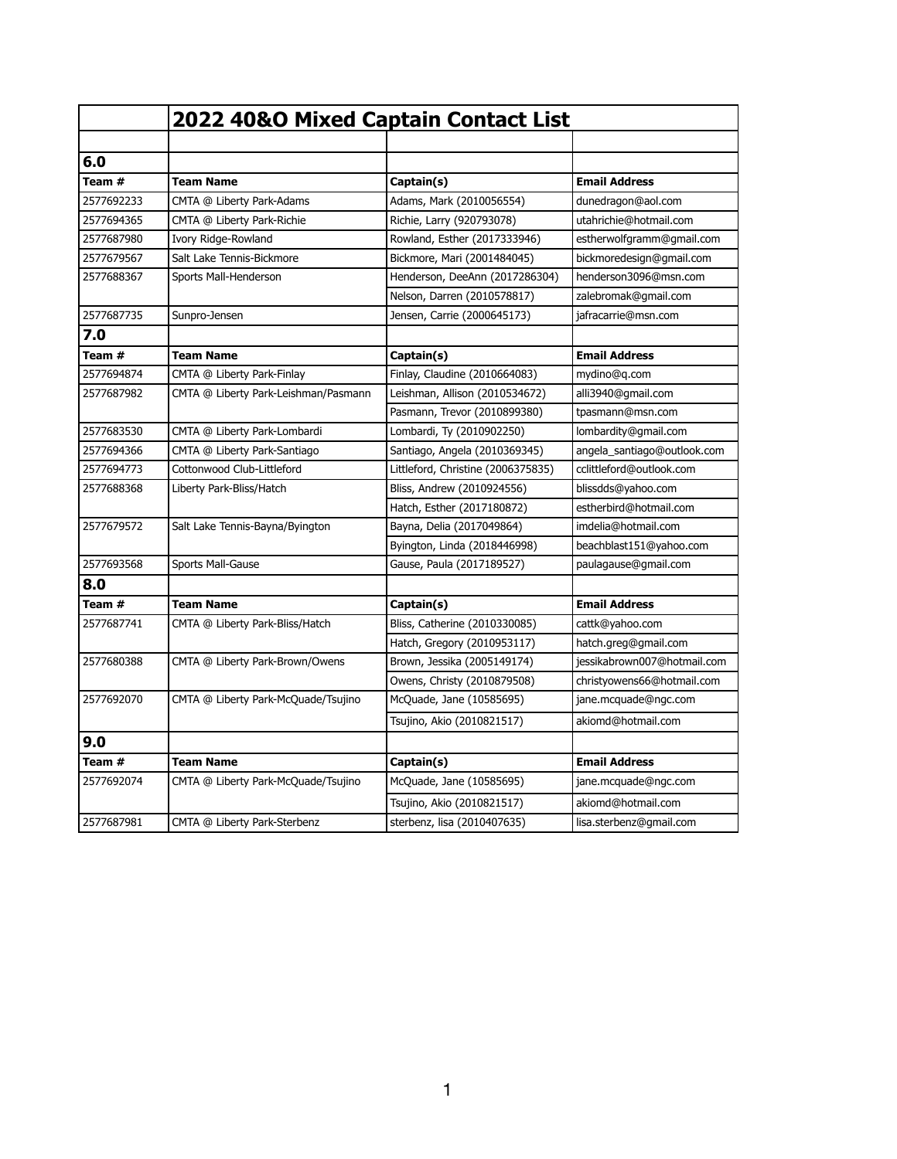|            | 2022 40&O Mixed Captain Contact List |                                    |                             |
|------------|--------------------------------------|------------------------------------|-----------------------------|
|            |                                      |                                    |                             |
| 6.0        |                                      |                                    |                             |
| Team #     | <b>Team Name</b>                     | Captain(s)                         | <b>Email Address</b>        |
| 2577692233 | CMTA @ Liberty Park-Adams            | Adams, Mark (2010056554)           | dunedragon@aol.com          |
| 2577694365 | CMTA @ Liberty Park-Richie           | Richie, Larry (920793078)          | utahrichie@hotmail.com      |
| 2577687980 | Ivory Ridge-Rowland                  | Rowland, Esther (2017333946)       | estherwolfgramm@gmail.com   |
| 2577679567 | Salt Lake Tennis-Bickmore            | Bickmore, Mari (2001484045)        | bickmoredesign@gmail.com    |
| 2577688367 | Sports Mall-Henderson                | Henderson, DeeAnn (2017286304)     | henderson3096@msn.com       |
|            |                                      | Nelson, Darren (2010578817)        | zalebromak@gmail.com        |
| 2577687735 | Sunpro-Jensen                        | Jensen, Carrie (2000645173)        | jafracarrie@msn.com         |
| 7.0        |                                      |                                    |                             |
| Team #     | <b>Team Name</b>                     | Captain(s)                         | <b>Email Address</b>        |
| 2577694874 | CMTA @ Liberty Park-Finlay           | Finlay, Claudine (2010664083)      | mydino@q.com                |
| 2577687982 | CMTA @ Liberty Park-Leishman/Pasmann | Leishman, Allison (2010534672)     | alli3940@gmail.com          |
|            |                                      | Pasmann, Trevor (2010899380)       | tpasmann@msn.com            |
| 2577683530 | CMTA @ Liberty Park-Lombardi         | Lombardi, Ty (2010902250)          | lombardity@gmail.com        |
| 2577694366 | CMTA @ Liberty Park-Santiago         | Santiago, Angela (2010369345)      | angela_santiago@outlook.com |
| 2577694773 | Cottonwood Club-Littleford           | Littleford, Christine (2006375835) | cclittleford@outlook.com    |
| 2577688368 | Liberty Park-Bliss/Hatch             | Bliss, Andrew (2010924556)         | blissdds@yahoo.com          |
|            |                                      | Hatch, Esther (2017180872)         | estherbird@hotmail.com      |
| 2577679572 | Salt Lake Tennis-Bayna/Byington      | Bayna, Delia (2017049864)          | imdelia@hotmail.com         |
|            |                                      | Byington, Linda (2018446998)       | beachblast151@yahoo.com     |
| 2577693568 | Sports Mall-Gause                    | Gause, Paula (2017189527)          | paulagause@gmail.com        |
| 8.0        |                                      |                                    |                             |
| Team #     | <b>Team Name</b>                     | Captain(s)                         | <b>Email Address</b>        |
| 2577687741 | CMTA @ Liberty Park-Bliss/Hatch      | Bliss, Catherine (2010330085)      | cattk@yahoo.com             |
|            |                                      | Hatch, Gregory (2010953117)        | hatch.greg@gmail.com        |
| 2577680388 | CMTA @ Liberty Park-Brown/Owens      | Brown, Jessika (2005149174)        | jessikabrown007@hotmail.com |
|            |                                      | Owens, Christy (2010879508)        | christyowens66@hotmail.com  |
| 2577692070 | CMTA @ Liberty Park-McQuade/Tsujino  | McQuade, Jane (10585695)           | jane.mcquade@ngc.com        |
|            |                                      | Tsujino, Akio (2010821517)         | akiomd@hotmail.com          |
| 9.0        |                                      |                                    |                             |
| Team #     | <b>Team Name</b>                     | Captain(s)                         | <b>Email Address</b>        |
| 2577692074 | CMTA @ Liberty Park-McQuade/Tsujino  | McQuade, Jane (10585695)           | jane.mcquade@ngc.com        |
|            |                                      | Tsujino, Akio (2010821517)         | akiomd@hotmail.com          |
| 2577687981 | CMTA @ Liberty Park-Sterbenz         | sterbenz, lisa (2010407635)        | lisa.sterbenz@gmail.com     |